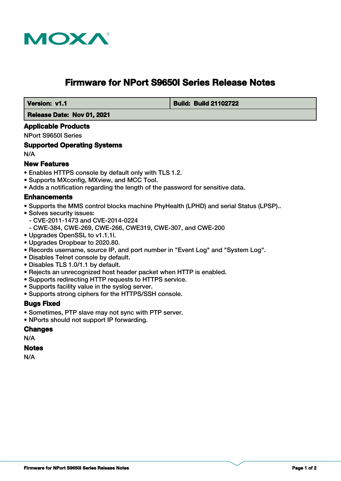

# **Firmware for NPort S9650I Series Release Notes**

 **Version: v1.1 Build: Build 21102722**

 **Release Date: Nov 01, 2021**

#### **Applicable Products**

NPort S9650I Series

#### **Supported Operating Systems**

N/A

### **New Features**

- Enables HTTPS console by default only with TLS 1.2.
- Supports MXconfig, MXview, and MCC Tool.
- Adds a notification regarding the length of the password for sensitive data.

### **Enhancements**

- Supports the MMS control blocks machine PhyHealth (LPHD) and serial Status (LPSP)..
- Solves security issues:
	- CVE-2011-1473 and CVE-2014-0224
	- CWE-384, CWE-269, CWE-266, CWE319, CWE-307, and CWE-200
- Upgrades OpenSSL to v1.1.1l.
- Upgrades Dropbear to 2020.80.
- Records username, source IP, and port number in "Event Log" and "System Log".
- Disables Telnet console by default.
- Disables TLS 1.0/1.1 by default.
- Rejects an unrecognized host header packet when HTTP is enabled.
- Supports redirecting HTTP requests to HTTPS service.
- Supports facility value in the syslog server.
- Supports strong ciphers for the HTTPS/SSH console.

### **Bugs Fixed**

- Sometimes, PTP slave may not sync with PTP server.
- NPorts should not support IP forwarding.

### **Changes**

N/A

#### **Notes**

N/A